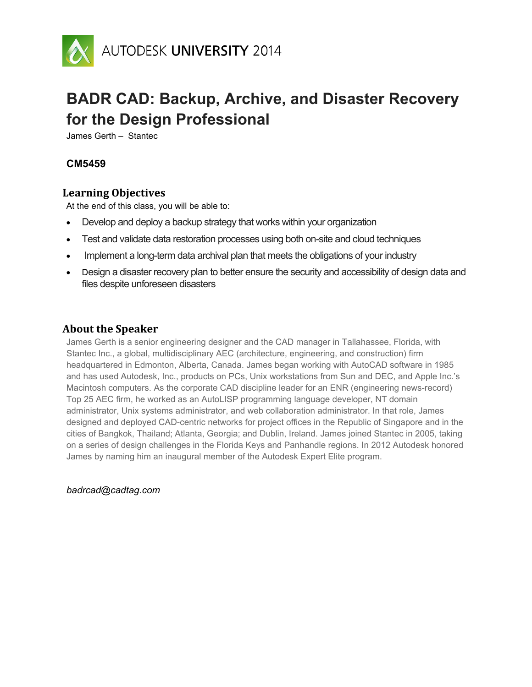

# **BADR CAD: Backup, Archive, and Disaster Recovery for the Design Professional**

James Gerth – Stantec

# **CM5459**

# **Learning Objectives**

At the end of this class, you will be able to:

- Develop and deploy a backup strategy that works within your organization
- Test and validate data restoration processes using both on-site and cloud techniques
- Implement a long-term data archival plan that meets the obligations of your industry
- Design a disaster recovery plan to better ensure the security and accessibility of design data and files despite unforeseen disasters

# **About the Speaker**

James Gerth is a senior engineering designer and the CAD manager in Tallahassee, Florida, with Stantec Inc., a global, multidisciplinary AEC (architecture, engineering, and construction) firm headquartered in Edmonton, Alberta, Canada. James began working with AutoCAD software in 1985 and has used Autodesk, Inc., products on PCs, Unix workstations from Sun and DEC, and Apple Inc.'s Macintosh computers. As the corporate CAD discipline leader for an ENR (engineering news-record) Top 25 AEC firm, he worked as an AutoLISP programming language developer, NT domain administrator, Unix systems administrator, and web collaboration administrator. In that role, James designed and deployed CAD-centric networks for project offices in the Republic of Singapore and in the cities of Bangkok, Thailand; Atlanta, Georgia; and Dublin, Ireland. James joined Stantec in 2005, taking on a series of design challenges in the Florida Keys and Panhandle regions. In 2012 Autodesk honored James by naming him an inaugural member of the Autodesk Expert Elite program.

*badrcad@cadtag.com*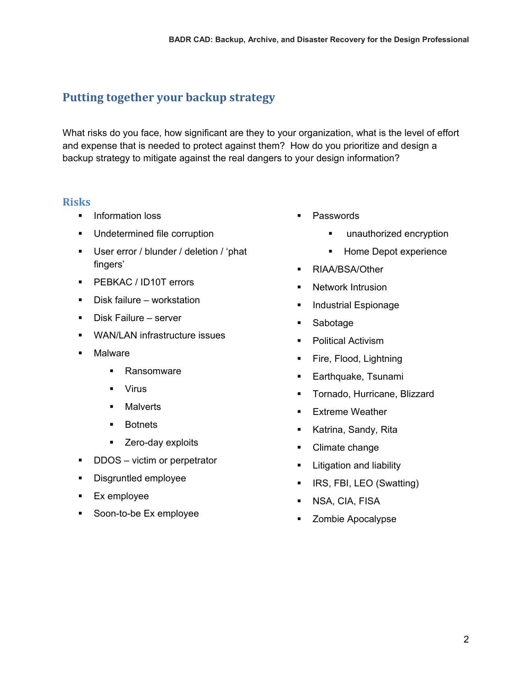# **Putting together your backup strategy**

What risks do you face, how significant are they to your organization, what is the level of effort and expense that is needed to protect against them? How do you prioritize and design a backup strategy to mitigate against the real dangers to your design information?

# **Risks**

- **Information loss**
- **Undetermined file corruption**
- User error / blunder / deletion / 'phat fingers'
- **PEBKAC / ID10T errors**
- Disk failure workstation
- **Disk Failure server**
- **•** WAN/LAN infrastructure issues
- **Malware** 
	- **Ransomware**
	- Virus
	- **Malverts**
	- **Botnets**
	- **EXEC** Zero-day exploits
- DDOS victim or perpetrator
- **Disgruntled employee**
- **Ex employee**
- Soon-to-be Ex employee
- **Passwords** 
	- **unauthorized encryption**
	- **Home Depot experience**
- **RIAA/BSA/Other**
- **Network Intrusion**
- Industrial Espionage
- Sabotage
- Political Activism
- Fire, Flood, Lightning
- **Earthquake, Tsunami**
- **Tornado, Hurricane, Blizzard**
- **Extreme Weather**
- **Katrina, Sandy, Rita**
- Climate change
- **E** Litigation and liability
- **IRS, FBI, LEO (Swatting)**
- **NSA, CIA, FISA**
- **EXECOMBIE Apocalypse**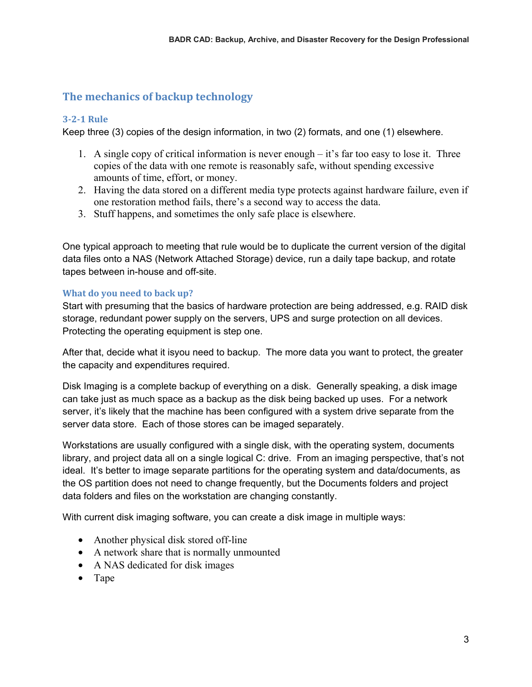# **The mechanics of backup technology**

# **3-2-1 Rule**

Keep three (3) copies of the design information, in two (2) formats, and one (1) elsewhere.

- 1. A single copy of critical information is never enough it's far too easy to lose it. Three copies of the data with one remote is reasonably safe, without spending excessive amounts of time, effort, or money.
- 2. Having the data stored on a different media type protects against hardware failure, even if one restoration method fails, there's a second way to access the data.
- 3. Stuff happens, and sometimes the only safe place is elsewhere.

One typical approach to meeting that rule would be to duplicate the current version of the digital data files onto a NAS (Network Attached Storage) device, run a daily tape backup, and rotate tapes between in-house and off-site.

# **What do you need to back up?**

Start with presuming that the basics of hardware protection are being addressed, e.g. RAID disk storage, redundant power supply on the servers, UPS and surge protection on all devices. Protecting the operating equipment is step one.

After that, decide what it isyou need to backup. The more data you want to protect, the greater the capacity and expenditures required.

Disk Imaging is a complete backup of everything on a disk. Generally speaking, a disk image can take just as much space as a backup as the disk being backed up uses. For a network server, it's likely that the machine has been configured with a system drive separate from the server data store. Each of those stores can be imaged separately.

Workstations are usually configured with a single disk, with the operating system, documents library, and project data all on a single logical C: drive. From an imaging perspective, that's not ideal. It's better to image separate partitions for the operating system and data/documents, as the OS partition does not need to change frequently, but the Documents folders and project data folders and files on the workstation are changing constantly.

With current disk imaging software, you can create a disk image in multiple ways:

- Another physical disk stored off-line
- A network share that is normally unmounted
- A NAS dedicated for disk images
- Tape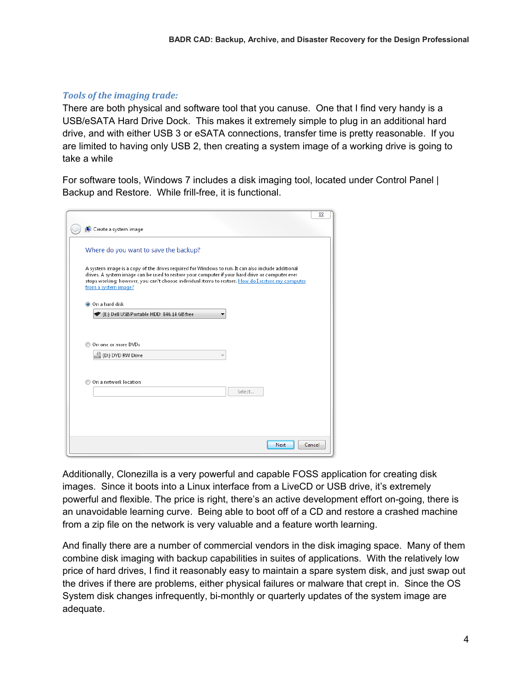# *Tools of the imaging trade:*

There are both physical and software tool that you canuse. One that I find very handy is a USB/eSATA Hard Drive Dock. This makes it extremely simple to plug in an additional hard drive, and with either USB 3 or eSATA connections, transfer time is pretty reasonable. If you are limited to having only USB 2, then creating a system image of a working drive is going to take a while

For software tools, Windows 7 includes a disk imaging tool, located under Control Panel | Backup and Restore. While frill-free, it is functional.

| Create a system image                                                                                                                                                                                                                                                                                                               |        |
|-------------------------------------------------------------------------------------------------------------------------------------------------------------------------------------------------------------------------------------------------------------------------------------------------------------------------------------|--------|
| Where do you want to save the backup?                                                                                                                                                                                                                                                                                               |        |
| A system image is a copy of the drives required for Windows to run. It can also include additional<br>drives. A system image can be used to restore your computer if your hard drive or computer ever<br>stops working; however, you can't choose individual items to restore. How do I restore my computer<br>from a system image? |        |
| O On a hard disk                                                                                                                                                                                                                                                                                                                    |        |
| ▶ (E:) Dell USB Portable HDD 846.14 GB free                                                                                                                                                                                                                                                                                         |        |
|                                                                                                                                                                                                                                                                                                                                     |        |
| On one or more DVDs<br>(D:) DVD RW Drive                                                                                                                                                                                                                                                                                            |        |
|                                                                                                                                                                                                                                                                                                                                     |        |
| On a network location                                                                                                                                                                                                                                                                                                               |        |
|                                                                                                                                                                                                                                                                                                                                     | Select |
|                                                                                                                                                                                                                                                                                                                                     |        |
|                                                                                                                                                                                                                                                                                                                                     |        |

Additionally, Clonezilla is a very powerful and capable FOSS application for creating disk images. Since it boots into a Linux interface from a LiveCD or USB drive, it's extremely powerful and flexible. The price is right, there's an active development effort on-going, there is an unavoidable learning curve. Being able to boot off of a CD and restore a crashed machine from a zip file on the network is very valuable and a feature worth learning.

And finally there are a number of commercial vendors in the disk imaging space. Many of them combine disk imaging with backup capabilities in suites of applications. With the relatively low price of hard drives, I find it reasonably easy to maintain a spare system disk, and just swap out the drives if there are problems, either physical failures or malware that crept in. Since the OS System disk changes infrequently, bi-monthly or quarterly updates of the system image are adequate.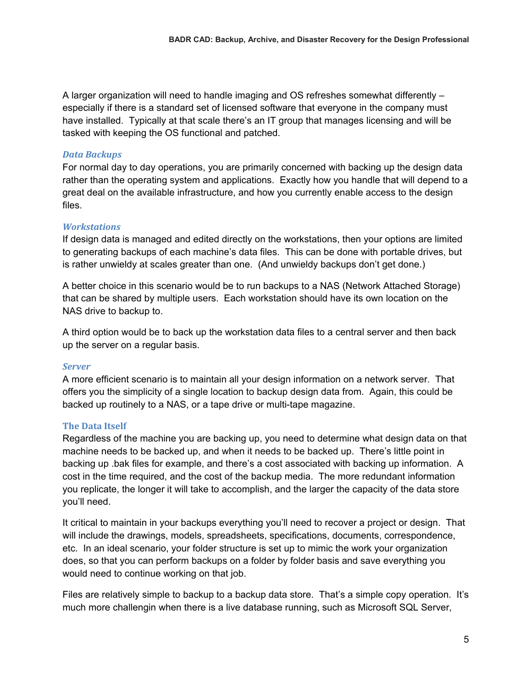A larger organization will need to handle imaging and OS refreshes somewhat differently – especially if there is a standard set of licensed software that everyone in the company must have installed. Typically at that scale there's an IT group that manages licensing and will be tasked with keeping the OS functional and patched.

## *Data Backups*

For normal day to day operations, you are primarily concerned with backing up the design data rather than the operating system and applications. Exactly how you handle that will depend to a great deal on the available infrastructure, and how you currently enable access to the design files.

#### *Workstations*

If design data is managed and edited directly on the workstations, then your options are limited to generating backups of each machine's data files. This can be done with portable drives, but is rather unwieldy at scales greater than one. (And unwieldy backups don't get done.)

A better choice in this scenario would be to run backups to a NAS (Network Attached Storage) that can be shared by multiple users. Each workstation should have its own location on the NAS drive to backup to.

A third option would be to back up the workstation data files to a central server and then back up the server on a regular basis.

#### *Server*

A more efficient scenario is to maintain all your design information on a network server. That offers you the simplicity of a single location to backup design data from. Again, this could be backed up routinely to a NAS, or a tape drive or multi-tape magazine.

# **The Data Itself**

Regardless of the machine you are backing up, you need to determine what design data on that machine needs to be backed up, and when it needs to be backed up. There's little point in backing up .bak files for example, and there's a cost associated with backing up information. A cost in the time required, and the cost of the backup media. The more redundant information you replicate, the longer it will take to accomplish, and the larger the capacity of the data store you'll need.

It critical to maintain in your backups everything you'll need to recover a project or design. That will include the drawings, models, spreadsheets, specifications, documents, correspondence, etc. In an ideal scenario, your folder structure is set up to mimic the work your organization does, so that you can perform backups on a folder by folder basis and save everything you would need to continue working on that job.

Files are relatively simple to backup to a backup data store. That's a simple copy operation. It's much more challengin when there is a live database running, such as Microsoft SQL Server,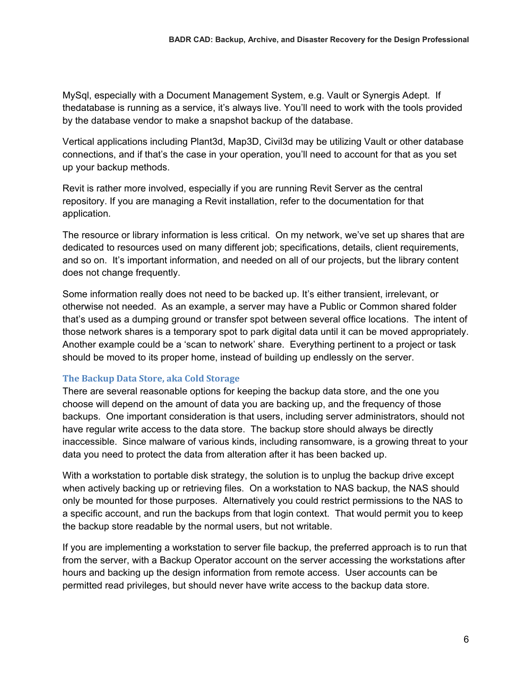MySql, especially with a Document Management System, e.g. Vault or Synergis Adept. If thedatabase is running as a service, it's always live. You'll need to work with the tools provided by the database vendor to make a snapshot backup of the database.

Vertical applications including Plant3d, Map3D, Civil3d may be utilizing Vault or other database connections, and if that's the case in your operation, you'll need to account for that as you set up your backup methods.

Revit is rather more involved, especially if you are running Revit Server as the central repository. If you are managing a Revit installation, refer to the documentation for that application.

The resource or library information is less critical. On my network, we've set up shares that are dedicated to resources used on many different job; specifications, details, client requirements, and so on. It's important information, and needed on all of our projects, but the library content does not change frequently.

Some information really does not need to be backed up. It's either transient, irrelevant, or otherwise not needed. As an example, a server may have a Public or Common shared folder that's used as a dumping ground or transfer spot between several office locations. The intent of those network shares is a temporary spot to park digital data until it can be moved appropriately. Another example could be a 'scan to network' share. Everything pertinent to a project or task should be moved to its proper home, instead of building up endlessly on the server.

#### **The Backup Data Store, aka Cold Storage**

There are several reasonable options for keeping the backup data store, and the one you choose will depend on the amount of data you are backing up, and the frequency of those backups. One important consideration is that users, including server administrators, should not have regular write access to the data store. The backup store should always be directly inaccessible. Since malware of various kinds, including ransomware, is a growing threat to your data you need to protect the data from alteration after it has been backed up.

With a workstation to portable disk strategy, the solution is to unplug the backup drive except when actively backing up or retrieving files. On a workstation to NAS backup, the NAS should only be mounted for those purposes. Alternatively you could restrict permissions to the NAS to a specific account, and run the backups from that login context. That would permit you to keep the backup store readable by the normal users, but not writable.

If you are implementing a workstation to server file backup, the preferred approach is to run that from the server, with a Backup Operator account on the server accessing the workstations after hours and backing up the design information from remote access. User accounts can be permitted read privileges, but should never have write access to the backup data store.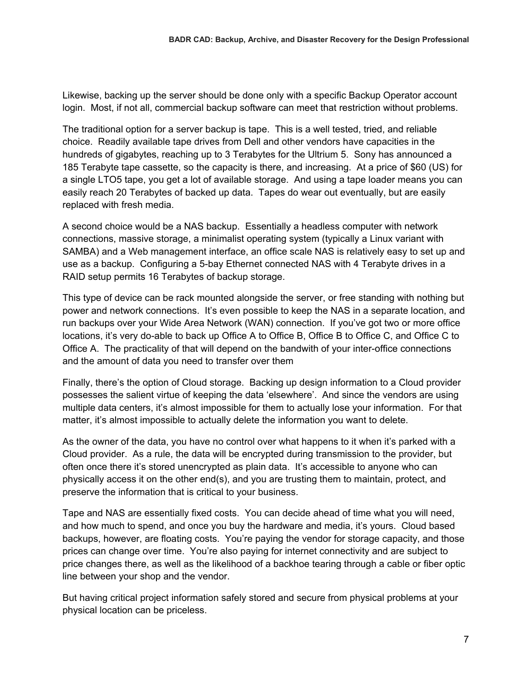Likewise, backing up the server should be done only with a specific Backup Operator account login. Most, if not all, commercial backup software can meet that restriction without problems.

The traditional option for a server backup is tape. This is a well tested, tried, and reliable choice. Readily available tape drives from Dell and other vendors have capacities in the hundreds of gigabytes, reaching up to 3 Terabytes for the Ultrium 5. Sony has announced a 185 Terabyte tape cassette, so the capacity is there, and increasing. At a price of \$60 (US) for a single LTO5 tape, you get a lot of available storage. And using a tape loader means you can easily reach 20 Terabytes of backed up data. Tapes do wear out eventually, but are easily replaced with fresh media.

A second choice would be a NAS backup. Essentially a headless computer with network connections, massive storage, a minimalist operating system (typically a Linux variant with SAMBA) and a Web management interface, an office scale NAS is relatively easy to set up and use as a backup. Configuring a 5-bay Ethernet connected NAS with 4 Terabyte drives in a RAID setup permits 16 Terabytes of backup storage.

This type of device can be rack mounted alongside the server, or free standing with nothing but power and network connections. It's even possible to keep the NAS in a separate location, and run backups over your Wide Area Network (WAN) connection. If you've got two or more office locations, it's very do-able to back up Office A to Office B, Office B to Office C, and Office C to Office A. The practicality of that will depend on the bandwith of your inter-office connections and the amount of data you need to transfer over them

Finally, there's the option of Cloud storage. Backing up design information to a Cloud provider possesses the salient virtue of keeping the data 'elsewhere'. And since the vendors are using multiple data centers, it's almost impossible for them to actually lose your information. For that matter, it's almost impossible to actually delete the information you want to delete.

As the owner of the data, you have no control over what happens to it when it's parked with a Cloud provider. As a rule, the data will be encrypted during transmission to the provider, but often once there it's stored unencrypted as plain data. It's accessible to anyone who can physically access it on the other end(s), and you are trusting them to maintain, protect, and preserve the information that is critical to your business.

Tape and NAS are essentially fixed costs. You can decide ahead of time what you will need, and how much to spend, and once you buy the hardware and media, it's yours. Cloud based backups, however, are floating costs. You're paying the vendor for storage capacity, and those prices can change over time. You're also paying for internet connectivity and are subject to price changes there, as well as the likelihood of a backhoe tearing through a cable or fiber optic line between your shop and the vendor.

But having critical project information safely stored and secure from physical problems at your physical location can be priceless.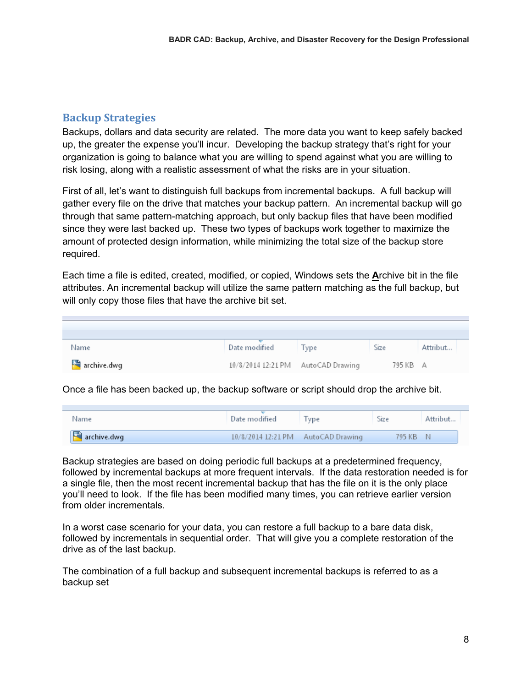# **Backup Strategies**

Backups, dollars and data security are related. The more data you want to keep safely backed up, the greater the expense you'll incur. Developing the backup strategy that's right for your organization is going to balance what you are willing to spend against what you are willing to risk losing, along with a realistic assessment of what the risks are in your situation.

First of all, let's want to distinguish full backups from incremental backups. A full backup will gather every file on the drive that matches your backup pattern. An incremental backup will go through that same pattern-matching approach, but only backup files that have been modified since they were last backed up. These two types of backups work together to maximize the amount of protected design information, while minimizing the total size of the backup store required.

Each time a file is edited, created, modified, or copied, Windows sets the **A**rchive bit in the file attributes. An incremental backup will utilize the same pattern matching as the full backup, but will only copy those files that have the archive bit set.

| Name        | Date modified                      | Tvpe | Size     | Attribut |
|-------------|------------------------------------|------|----------|----------|
| archive.dwg | 10/8/2014 12:21 PM AutoCAD Drawing |      | 795 KB A |          |

Once a file has been backed up, the backup software or script should drop the archive bit.

| Name        | Date modified                      | <b>l</b> vpe | Size   | Attribut |
|-------------|------------------------------------|--------------|--------|----------|
| archive.dwg | 10/8/2014 12:21 PM AutoCAD Drawing |              | 795 KB | N        |

Backup strategies are based on doing periodic full backups at a predetermined frequency, followed by incremental backups at more frequent intervals. If the data restoration needed is for a single file, then the most recent incremental backup that has the file on it is the only place you'll need to look. If the file has been modified many times, you can retrieve earlier version from older incrementals.

In a worst case scenario for your data, you can restore a full backup to a bare data disk, followed by incrementals in sequential order. That will give you a complete restoration of the drive as of the last backup.

The combination of a full backup and subsequent incremental backups is referred to as a backup set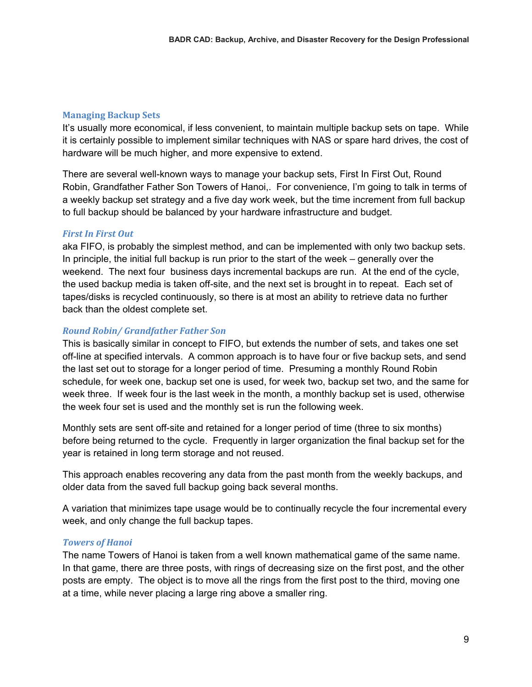# **Managing Backup Sets**

It's usually more economical, if less convenient, to maintain multiple backup sets on tape. While it is certainly possible to implement similar techniques with NAS or spare hard drives, the cost of hardware will be much higher, and more expensive to extend.

There are several well-known ways to manage your backup sets, First In First Out, Round Robin, Grandfather Father Son Towers of Hanoi,. For convenience, I'm going to talk in terms of a weekly backup set strategy and a five day work week, but the time increment from full backup to full backup should be balanced by your hardware infrastructure and budget.

#### *First In First Out*

aka FIFO, is probably the simplest method, and can be implemented with only two backup sets. In principle, the initial full backup is run prior to the start of the week – generally over the weekend. The next four business days incremental backups are run. At the end of the cycle, the used backup media is taken off-site, and the next set is brought in to repeat. Each set of tapes/disks is recycled continuously, so there is at most an ability to retrieve data no further back than the oldest complete set.

#### *Round Robin/ Grandfather Father Son*

This is basically similar in concept to FIFO, but extends the number of sets, and takes one set off-line at specified intervals. A common approach is to have four or five backup sets, and send the last set out to storage for a longer period of time. Presuming a monthly Round Robin schedule, for week one, backup set one is used, for week two, backup set two, and the same for week three. If week four is the last week in the month, a monthly backup set is used, otherwise the week four set is used and the monthly set is run the following week.

Monthly sets are sent off-site and retained for a longer period of time (three to six months) before being returned to the cycle. Frequently in larger organization the final backup set for the year is retained in long term storage and not reused.

This approach enables recovering any data from the past month from the weekly backups, and older data from the saved full backup going back several months.

A variation that minimizes tape usage would be to continually recycle the four incremental every week, and only change the full backup tapes.

#### *Towers of Hanoi*

The name Towers of Hanoi is taken from a well known mathematical game of the same name. In that game, there are three posts, with rings of decreasing size on the first post, and the other posts are empty. The object is to move all the rings from the first post to the third, moving one at a time, while never placing a large ring above a smaller ring.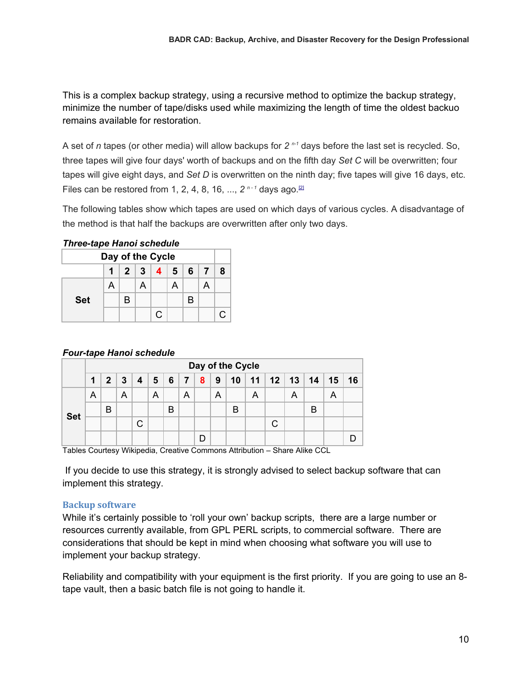This is a complex backup strategy, using a recursive method to optimize the backup strategy, minimize the number of tape/disks used while maximizing the length of time the oldest backuo remains available for restoration.

A set of *n* tapes (or other media) will allow backups for *2 n-1* days before the last set is recycled. So, three tapes will give four days' worth of backups and on the fifth day *Set C* will be overwritten; four tapes will give eight days, and *Set D* is overwritten on the ninth day; five tapes will give 16 days, etc. Files can be restored from 1, 2, 4, 8, 16, ...,  $2^{n-1}$  days ago.<sup>[2]</sup>

The following tables show which tapes are used on which days of various cycles. A disadvantage of the method is that half the backups are overwritten after only two days.

| <u>HILE CHANG HAIR SCHEULE</u>              |   |   |   |    |   |   |   |    |
|---------------------------------------------|---|---|---|----|---|---|---|----|
| Day of the Cycle                            |   |   |   |    |   |   |   |    |
| $2 \mid 3 \mid 4 \mid 5 \mid 6$<br>1<br>- 7 |   |   |   |    |   | 8 |   |    |
|                                             | А |   | A |    | А |   | А |    |
| <b>Set</b>                                  |   | В |   |    |   | В |   |    |
|                                             |   |   |   | C. |   |   |   | C. |

# *Three-tape Hanoi schedule*

# *Four-tape Hanoi schedule*

|            | Day of the Cycle |                |              |   |   |               |   |          |   |                 |   |                      |   |    |    |    |
|------------|------------------|----------------|--------------|---|---|---------------|---|----------|---|-----------------|---|----------------------|---|----|----|----|
|            |                  | 2 <sup>1</sup> | $\mathbf{3}$ |   |   | 4   5   6   7 |   | $+8$ $+$ | 9 | 10 <sup>1</sup> |   | $11 \mid 12 \mid 13$ |   | 14 | 15 | 16 |
|            | A                |                | A            |   | А |               | A |          | Α |                 | A |                      | A |    |    |    |
|            |                  | B              |              |   |   | B             |   |          |   | B               |   |                      |   | B  |    |    |
| <b>Set</b> |                  |                |              | C |   |               |   |          |   |                 |   |                      |   |    |    |    |
|            |                  |                |              |   |   |               |   | D        |   |                 |   |                      |   |    |    |    |

Tables Courtesy Wikipedia, Creative Commons Attribution – Share Alike CCL

 If you decide to use this strategy, it is strongly advised to select backup software that can implement this strategy.

# **Backup software**

While it's certainly possible to 'roll your own' backup scripts, there are a large number or resources currently available, from GPL PERL scripts, to commercial software. There are considerations that should be kept in mind when choosing what software you will use to implement your backup strategy.

Reliability and compatibility with your equipment is the first priority. If you are going to use an 8 tape vault, then a basic batch file is not going to handle it.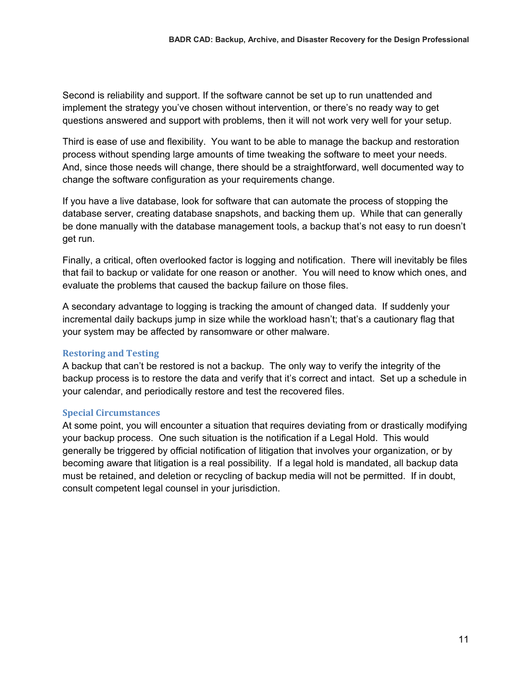Second is reliability and support. If the software cannot be set up to run unattended and implement the strategy you've chosen without intervention, or there's no ready way to get questions answered and support with problems, then it will not work very well for your setup.

Third is ease of use and flexibility. You want to be able to manage the backup and restoration process without spending large amounts of time tweaking the software to meet your needs. And, since those needs will change, there should be a straightforward, well documented way to change the software configuration as your requirements change.

If you have a live database, look for software that can automate the process of stopping the database server, creating database snapshots, and backing them up. While that can generally be done manually with the database management tools, a backup that's not easy to run doesn't get run.

Finally, a critical, often overlooked factor is logging and notification. There will inevitably be files that fail to backup or validate for one reason or another. You will need to know which ones, and evaluate the problems that caused the backup failure on those files.

A secondary advantage to logging is tracking the amount of changed data. If suddenly your incremental daily backups jump in size while the workload hasn't; that's a cautionary flag that your system may be affected by ransomware or other malware.

#### **Restoring and Testing**

A backup that can't be restored is not a backup. The only way to verify the integrity of the backup process is to restore the data and verify that it's correct and intact. Set up a schedule in your calendar, and periodically restore and test the recovered files.

#### **Special Circumstances**

At some point, you will encounter a situation that requires deviating from or drastically modifying your backup process. One such situation is the notification if a Legal Hold. This would generally be triggered by official notification of litigation that involves your organization, or by becoming aware that litigation is a real possibility. If a legal hold is mandated, all backup data must be retained, and deletion or recycling of backup media will not be permitted. If in doubt, consult competent legal counsel in your jurisdiction.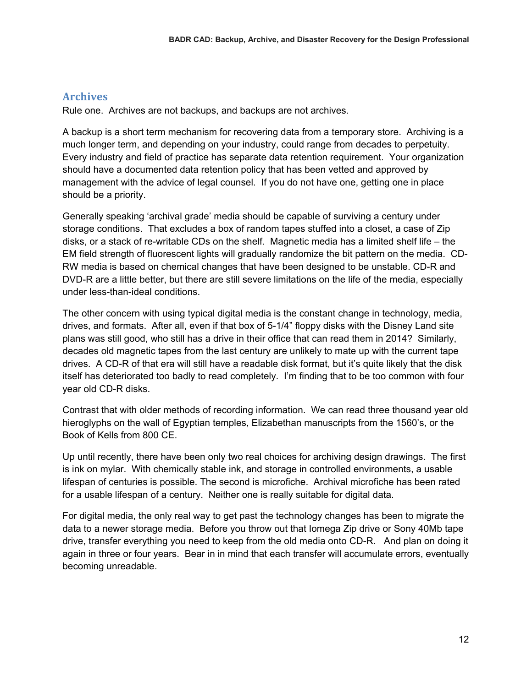# **Archives**

Rule one. Archives are not backups, and backups are not archives.

A backup is a short term mechanism for recovering data from a temporary store. Archiving is a much longer term, and depending on your industry, could range from decades to perpetuity. Every industry and field of practice has separate data retention requirement. Your organization should have a documented data retention policy that has been vetted and approved by management with the advice of legal counsel. If you do not have one, getting one in place should be a priority.

Generally speaking 'archival grade' media should be capable of surviving a century under storage conditions. That excludes a box of random tapes stuffed into a closet, a case of Zip disks, or a stack of re-writable CDs on the shelf. Magnetic media has a limited shelf life – the EM field strength of fluorescent lights will gradually randomize the bit pattern on the media. CD-RW media is based on chemical changes that have been designed to be unstable. CD-R and DVD-R are a little better, but there are still severe limitations on the life of the media, especially under less-than-ideal conditions.

The other concern with using typical digital media is the constant change in technology, media, drives, and formats. After all, even if that box of 5-1/4" floppy disks with the Disney Land site plans was still good, who still has a drive in their office that can read them in 2014? Similarly, decades old magnetic tapes from the last century are unlikely to mate up with the current tape drives. A CD-R of that era will still have a readable disk format, but it's quite likely that the disk itself has deteriorated too badly to read completely. I'm finding that to be too common with four year old CD-R disks.

Contrast that with older methods of recording information. We can read three thousand year old hieroglyphs on the wall of Egyptian temples, Elizabethan manuscripts from the 1560's, or the Book of Kells from 800 CE.

Up until recently, there have been only two real choices for archiving design drawings. The first is ink on mylar. With chemically stable ink, and storage in controlled environments, a usable lifespan of centuries is possible. The second is microfiche. Archival microfiche has been rated for a usable lifespan of a century. Neither one is really suitable for digital data.

For digital media, the only real way to get past the technology changes has been to migrate the data to a newer storage media. Before you throw out that Iomega Zip drive or Sony 40Mb tape drive, transfer everything you need to keep from the old media onto CD-R. And plan on doing it again in three or four years. Bear in in mind that each transfer will accumulate errors, eventually becoming unreadable.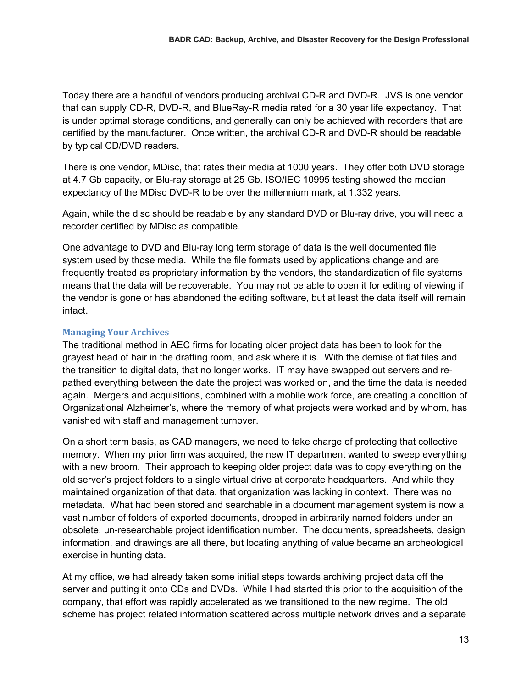Today there are a handful of vendors producing archival CD-R and DVD-R. JVS is one vendor that can supply CD-R, DVD-R, and BlueRay-R media rated for a 30 year life expectancy. That is under optimal storage conditions, and generally can only be achieved with recorders that are certified by the manufacturer. Once written, the archival CD-R and DVD-R should be readable by typical CD/DVD readers.

There is one vendor, MDisc, that rates their media at 1000 years. They offer both DVD storage at 4.7 Gb capacity, or Blu-ray storage at 25 Gb. ISO/IEC 10995 testing showed the median expectancy of the MDisc DVD-R to be over the millennium mark, at 1,332 years.

Again, while the disc should be readable by any standard DVD or Blu-ray drive, you will need a recorder certified by MDisc as compatible.

One advantage to DVD and Blu-ray long term storage of data is the well documented file system used by those media. While the file formats used by applications change and are frequently treated as proprietary information by the vendors, the standardization of file systems means that the data will be recoverable. You may not be able to open it for editing of viewing if the vendor is gone or has abandoned the editing software, but at least the data itself will remain intact.

# **Managing Your Archives**

The traditional method in AEC firms for locating older project data has been to look for the grayest head of hair in the drafting room, and ask where it is. With the demise of flat files and the transition to digital data, that no longer works. IT may have swapped out servers and repathed everything between the date the project was worked on, and the time the data is needed again. Mergers and acquisitions, combined with a mobile work force, are creating a condition of Organizational Alzheimer's, where the memory of what projects were worked and by whom, has vanished with staff and management turnover.

On a short term basis, as CAD managers, we need to take charge of protecting that collective memory. When my prior firm was acquired, the new IT department wanted to sweep everything with a new broom. Their approach to keeping older project data was to copy everything on the old server's project folders to a single virtual drive at corporate headquarters. And while they maintained organization of that data, that organization was lacking in context. There was no metadata. What had been stored and searchable in a document management system is now a vast number of folders of exported documents, dropped in arbitrarily named folders under an obsolete, un-researchable project identification number. The documents, spreadsheets, design information, and drawings are all there, but locating anything of value became an archeological exercise in hunting data.

At my office, we had already taken some initial steps towards archiving project data off the server and putting it onto CDs and DVDs. While I had started this prior to the acquisition of the company, that effort was rapidly accelerated as we transitioned to the new regime. The old scheme has project related information scattered across multiple network drives and a separate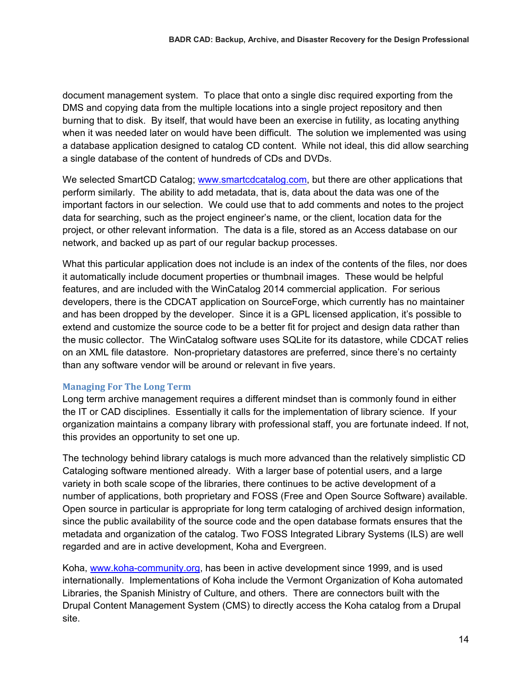document management system. To place that onto a single disc required exporting from the DMS and copying data from the multiple locations into a single project repository and then burning that to disk. By itself, that would have been an exercise in futility, as locating anything when it was needed later on would have been difficult. The solution we implemented was using a database application designed to catalog CD content. While not ideal, this did allow searching a single database of the content of hundreds of CDs and DVDs.

We selected SmartCD Catalog; www.smartcdcatalog.com, but there are other applications that perform similarly. The ability to add metadata, that is, data about the data was one of the important factors in our selection. We could use that to add comments and notes to the project data for searching, such as the project engineer's name, or the client, location data for the project, or other relevant information. The data is a file, stored as an Access database on our network, and backed up as part of our regular backup processes.

What this particular application does not include is an index of the contents of the files, nor does it automatically include document properties or thumbnail images. These would be helpful features, and are included with the WinCatalog 2014 commercial application. For serious developers, there is the CDCAT application on SourceForge, which currently has no maintainer and has been dropped by the developer. Since it is a GPL licensed application, it's possible to extend and customize the source code to be a better fit for project and design data rather than the music collector. The WinCatalog software uses SQLite for its datastore, while CDCAT relies on an XML file datastore. Non-proprietary datastores are preferred, since there's no certainty than any software vendor will be around or relevant in five years.

# **Managing For The Long Term**

Long term archive management requires a different mindset than is commonly found in either the IT or CAD disciplines. Essentially it calls for the implementation of library science. If your organization maintains a company library with professional staff, you are fortunate indeed. If not, this provides an opportunity to set one up.

The technology behind library catalogs is much more advanced than the relatively simplistic CD Cataloging software mentioned already. With a larger base of potential users, and a large variety in both scale scope of the libraries, there continues to be active development of a number of applications, both proprietary and FOSS (Free and Open Source Software) available. Open source in particular is appropriate for long term cataloging of archived design information, since the public availability of the source code and the open database formats ensures that the metadata and organization of the catalog. Two FOSS Integrated Library Systems (ILS) are well regarded and are in active development, Koha and Evergreen.

Koha, www.koha-community.org, has been in active development since 1999, and is used internationally. Implementations of Koha include the Vermont Organization of Koha automated Libraries, the Spanish Ministry of Culture, and others. There are connectors built with the Drupal Content Management System (CMS) to directly access the Koha catalog from a Drupal site.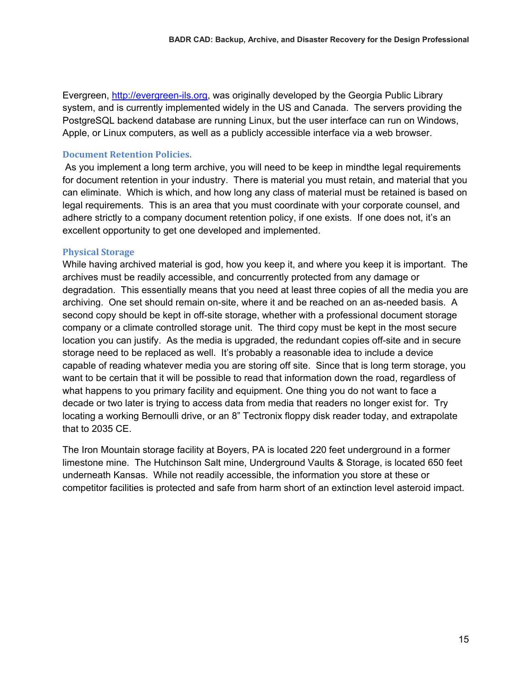Evergreen, http://evergreen-ils.org, was originally developed by the Georgia Public Library system, and is currently implemented widely in the US and Canada. The servers providing the PostgreSQL backend database are running Linux, but the user interface can run on Windows, Apple, or Linux computers, as well as a publicly accessible interface via a web browser.

# **Document Retention Policies.**

 As you implement a long term archive, you will need to be keep in mindthe legal requirements for document retention in your industry. There is material you must retain, and material that you can eliminate. Which is which, and how long any class of material must be retained is based on legal requirements. This is an area that you must coordinate with your corporate counsel, and adhere strictly to a company document retention policy, if one exists. If one does not, it's an excellent opportunity to get one developed and implemented.

#### **Physical Storage**

While having archived material is god, how you keep it, and where you keep it is important. The archives must be readily accessible, and concurrently protected from any damage or degradation. This essentially means that you need at least three copies of all the media you are archiving. One set should remain on-site, where it and be reached on an as-needed basis. A second copy should be kept in off-site storage, whether with a professional document storage company or a climate controlled storage unit. The third copy must be kept in the most secure location you can justify. As the media is upgraded, the redundant copies off-site and in secure storage need to be replaced as well. It's probably a reasonable idea to include a device capable of reading whatever media you are storing off site. Since that is long term storage, you want to be certain that it will be possible to read that information down the road, regardless of what happens to you primary facility and equipment. One thing you do not want to face a decade or two later is trying to access data from media that readers no longer exist for. Try locating a working Bernoulli drive, or an 8" Tectronix floppy disk reader today, and extrapolate that to 2035 CE.

The Iron Mountain storage facility at Boyers, PA is located 220 feet underground in a former limestone mine. The Hutchinson Salt mine, Underground Vaults & Storage, is located 650 feet underneath Kansas. While not readily accessible, the information you store at these or competitor facilities is protected and safe from harm short of an extinction level asteroid impact.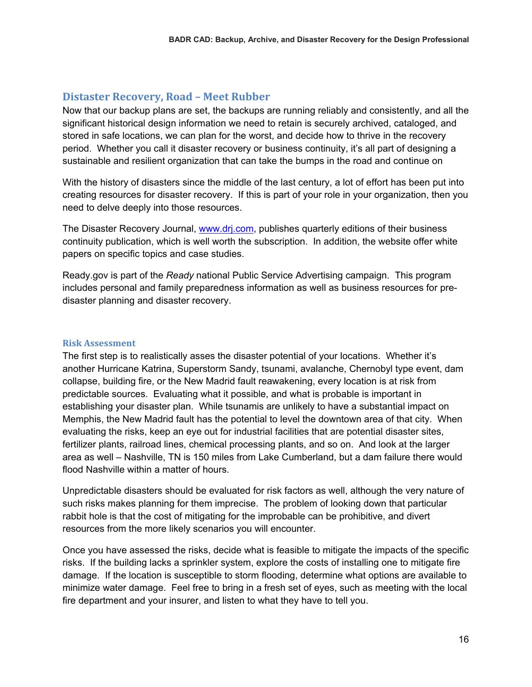# **Distaster Recovery, Road – Meet Rubber**

Now that our backup plans are set, the backups are running reliably and consistently, and all the significant historical design information we need to retain is securely archived, cataloged, and stored in safe locations, we can plan for the worst, and decide how to thrive in the recovery period. Whether you call it disaster recovery or business continuity, it's all part of designing a sustainable and resilient organization that can take the bumps in the road and continue on

With the history of disasters since the middle of the last century, a lot of effort has been put into creating resources for disaster recovery. If this is part of your role in your organization, then you need to delve deeply into those resources.

The Disaster Recovery Journal, www.drj.com, publishes quarterly editions of their business continuity publication, which is well worth the subscription. In addition, the website offer white papers on specific topics and case studies.

Ready.gov is part of the *Ready* national Public Service Advertising campaign. This program includes personal and family preparedness information as well as business resources for predisaster planning and disaster recovery.

## **Risk Assessment**

The first step is to realistically asses the disaster potential of your locations. Whether it's another Hurricane Katrina, Superstorm Sandy, tsunami, avalanche, Chernobyl type event, dam collapse, building fire, or the New Madrid fault reawakening, every location is at risk from predictable sources. Evaluating what it possible, and what is probable is important in establishing your disaster plan. While tsunamis are unlikely to have a substantial impact on Memphis, the New Madrid fault has the potential to level the downtown area of that city. When evaluating the risks, keep an eye out for industrial facilities that are potential disaster sites, fertilizer plants, railroad lines, chemical processing plants, and so on. And look at the larger area as well – Nashville, TN is 150 miles from Lake Cumberland, but a dam failure there would flood Nashville within a matter of hours.

Unpredictable disasters should be evaluated for risk factors as well, although the very nature of such risks makes planning for them imprecise. The problem of looking down that particular rabbit hole is that the cost of mitigating for the improbable can be prohibitive, and divert resources from the more likely scenarios you will encounter.

Once you have assessed the risks, decide what is feasible to mitigate the impacts of the specific risks. If the building lacks a sprinkler system, explore the costs of installing one to mitigate fire damage. If the location is susceptible to storm flooding, determine what options are available to minimize water damage. Feel free to bring in a fresh set of eyes, such as meeting with the local fire department and your insurer, and listen to what they have to tell you.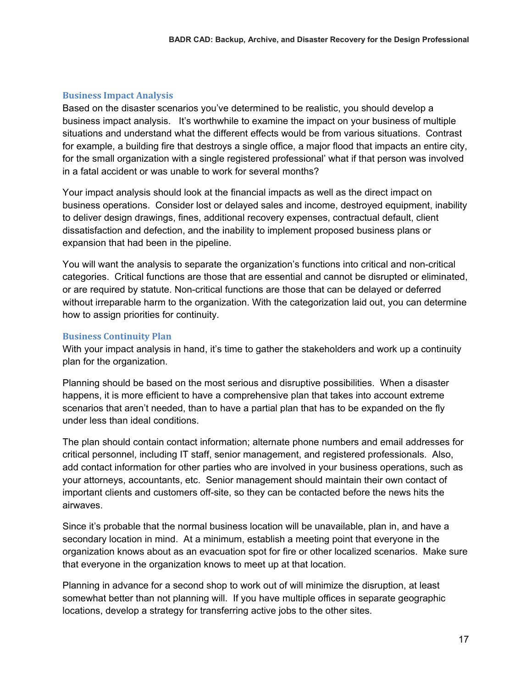# **Business Impact Analysis**

Based on the disaster scenarios you've determined to be realistic, you should develop a business impact analysis. It's worthwhile to examine the impact on your business of multiple situations and understand what the different effects would be from various situations. Contrast for example, a building fire that destroys a single office, a major flood that impacts an entire city, for the small organization with a single registered professional' what if that person was involved in a fatal accident or was unable to work for several months?

Your impact analysis should look at the financial impacts as well as the direct impact on business operations. Consider lost or delayed sales and income, destroyed equipment, inability to deliver design drawings, fines, additional recovery expenses, contractual default, client dissatisfaction and defection, and the inability to implement proposed business plans or expansion that had been in the pipeline.

You will want the analysis to separate the organization's functions into critical and non-critical categories. Critical functions are those that are essential and cannot be disrupted or eliminated, or are required by statute. Non-critical functions are those that can be delayed or deferred without irreparable harm to the organization. With the categorization laid out, you can determine how to assign priorities for continuity.

# **Business Continuity Plan**

With your impact analysis in hand, it's time to gather the stakeholders and work up a continuity plan for the organization.

Planning should be based on the most serious and disruptive possibilities. When a disaster happens, it is more efficient to have a comprehensive plan that takes into account extreme scenarios that aren't needed, than to have a partial plan that has to be expanded on the fly under less than ideal conditions.

The plan should contain contact information; alternate phone numbers and email addresses for critical personnel, including IT staff, senior management, and registered professionals. Also, add contact information for other parties who are involved in your business operations, such as your attorneys, accountants, etc. Senior management should maintain their own contact of important clients and customers off-site, so they can be contacted before the news hits the airwaves.

Since it's probable that the normal business location will be unavailable, plan in, and have a secondary location in mind. At a minimum, establish a meeting point that everyone in the organization knows about as an evacuation spot for fire or other localized scenarios. Make sure that everyone in the organization knows to meet up at that location.

Planning in advance for a second shop to work out of will minimize the disruption, at least somewhat better than not planning will. If you have multiple offices in separate geographic locations, develop a strategy for transferring active jobs to the other sites.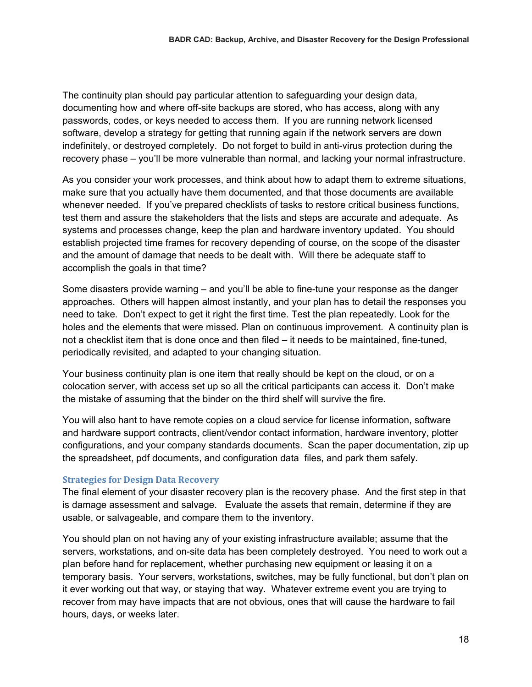The continuity plan should pay particular attention to safeguarding your design data, documenting how and where off-site backups are stored, who has access, along with any passwords, codes, or keys needed to access them. If you are running network licensed software, develop a strategy for getting that running again if the network servers are down indefinitely, or destroyed completely. Do not forget to build in anti-virus protection during the recovery phase – you'll be more vulnerable than normal, and lacking your normal infrastructure.

As you consider your work processes, and think about how to adapt them to extreme situations, make sure that you actually have them documented, and that those documents are available whenever needed. If you've prepared checklists of tasks to restore critical business functions, test them and assure the stakeholders that the lists and steps are accurate and adequate. As systems and processes change, keep the plan and hardware inventory updated. You should establish projected time frames for recovery depending of course, on the scope of the disaster and the amount of damage that needs to be dealt with. Will there be adequate staff to accomplish the goals in that time?

Some disasters provide warning – and you'll be able to fine-tune your response as the danger approaches. Others will happen almost instantly, and your plan has to detail the responses you need to take. Don't expect to get it right the first time. Test the plan repeatedly. Look for the holes and the elements that were missed. Plan on continuous improvement. A continuity plan is not a checklist item that is done once and then filed – it needs to be maintained, fine-tuned, periodically revisited, and adapted to your changing situation.

Your business continuity plan is one item that really should be kept on the cloud, or on a colocation server, with access set up so all the critical participants can access it. Don't make the mistake of assuming that the binder on the third shelf will survive the fire.

You will also hant to have remote copies on a cloud service for license information, software and hardware support contracts, client/vendor contact information, hardware inventory, plotter configurations, and your company standards documents. Scan the paper documentation, zip up the spreadsheet, pdf documents, and configuration data files, and park them safely.

# **Strategies for Design Data Recovery**

The final element of your disaster recovery plan is the recovery phase. And the first step in that is damage assessment and salvage. Evaluate the assets that remain, determine if they are usable, or salvageable, and compare them to the inventory.

You should plan on not having any of your existing infrastructure available; assume that the servers, workstations, and on-site data has been completely destroyed. You need to work out a plan before hand for replacement, whether purchasing new equipment or leasing it on a temporary basis. Your servers, workstations, switches, may be fully functional, but don't plan on it ever working out that way, or staying that way. Whatever extreme event you are trying to recover from may have impacts that are not obvious, ones that will cause the hardware to fail hours, days, or weeks later.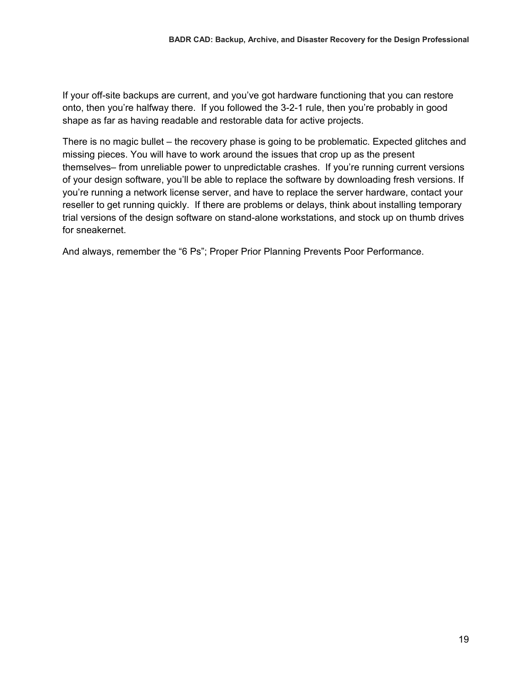If your off-site backups are current, and you've got hardware functioning that you can restore onto, then you're halfway there. If you followed the 3-2-1 rule, then you're probably in good shape as far as having readable and restorable data for active projects.

There is no magic bullet – the recovery phase is going to be problematic. Expected glitches and missing pieces. You will have to work around the issues that crop up as the present themselves– from unreliable power to unpredictable crashes. If you're running current versions of your design software, you'll be able to replace the software by downloading fresh versions. If you're running a network license server, and have to replace the server hardware, contact your reseller to get running quickly. If there are problems or delays, think about installing temporary trial versions of the design software on stand-alone workstations, and stock up on thumb drives for sneakernet.

And always, remember the "6 Ps"; Proper Prior Planning Prevents Poor Performance.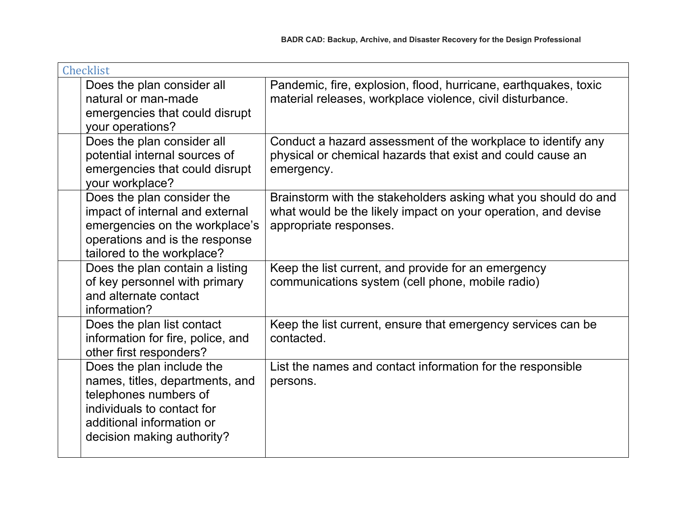| <b>Checklist</b>                                                                                                                                                               |                                                                                                                                                           |
|--------------------------------------------------------------------------------------------------------------------------------------------------------------------------------|-----------------------------------------------------------------------------------------------------------------------------------------------------------|
| Does the plan consider all<br>natural or man-made<br>emergencies that could disrupt<br>your operations?                                                                        | Pandemic, fire, explosion, flood, hurricane, earthquakes, toxic<br>material releases, workplace violence, civil disturbance.                              |
| Does the plan consider all<br>potential internal sources of<br>emergencies that could disrupt<br>your workplace?                                                               | Conduct a hazard assessment of the workplace to identify any<br>physical or chemical hazards that exist and could cause an<br>emergency.                  |
| Does the plan consider the<br>impact of internal and external<br>emergencies on the workplace's<br>operations and is the response<br>tailored to the workplace?                | Brainstorm with the stakeholders asking what you should do and<br>what would be the likely impact on your operation, and devise<br>appropriate responses. |
| Does the plan contain a listing<br>of key personnel with primary<br>and alternate contact<br>information?                                                                      | Keep the list current, and provide for an emergency<br>communications system (cell phone, mobile radio)                                                   |
| Does the plan list contact<br>information for fire, police, and<br>other first responders?                                                                                     | Keep the list current, ensure that emergency services can be<br>contacted.                                                                                |
| Does the plan include the<br>names, titles, departments, and<br>telephones numbers of<br>individuals to contact for<br>additional information or<br>decision making authority? | List the names and contact information for the responsible<br>persons.                                                                                    |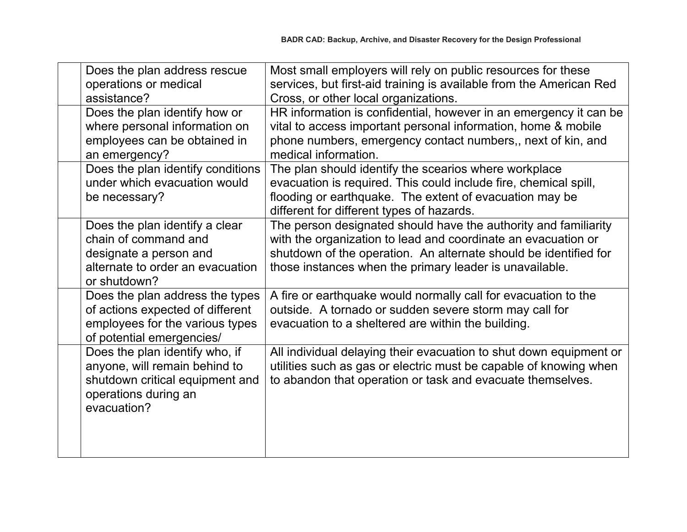| Does the plan address rescue<br>operations or medical<br>assistance?                                                                      | Most small employers will rely on public resources for these<br>services, but first-aid training is available from the American Red<br>Cross, or other local organizations.                                                                                     |
|-------------------------------------------------------------------------------------------------------------------------------------------|-----------------------------------------------------------------------------------------------------------------------------------------------------------------------------------------------------------------------------------------------------------------|
| Does the plan identify how or<br>where personal information on<br>employees can be obtained in<br>an emergency?                           | HR information is confidential, however in an emergency it can be<br>vital to access important personal information, home & mobile<br>phone numbers, emergency contact numbers,, next of kin, and<br>medical information.                                       |
| Does the plan identify conditions<br>under which evacuation would<br>be necessary?                                                        | The plan should identify the scearios where workplace<br>evacuation is required. This could include fire, chemical spill,<br>flooding or earthquake. The extent of evacuation may be<br>different for different types of hazards.                               |
| Does the plan identify a clear<br>chain of command and<br>designate a person and<br>alternate to order an evacuation<br>or shutdown?      | The person designated should have the authority and familiarity<br>with the organization to lead and coordinate an evacuation or<br>shutdown of the operation. An alternate should be identified for<br>those instances when the primary leader is unavailable. |
| Does the plan address the types<br>of actions expected of different<br>employees for the various types<br>of potential emergencies/       | A fire or earthquake would normally call for evacuation to the<br>outside. A tornado or sudden severe storm may call for<br>evacuation to a sheltered are within the building.                                                                                  |
| Does the plan identify who, if<br>anyone, will remain behind to<br>shutdown critical equipment and<br>operations during an<br>evacuation? | All individual delaying their evacuation to shut down equipment or<br>utilities such as gas or electric must be capable of knowing when<br>to abandon that operation or task and evacuate themselves.                                                           |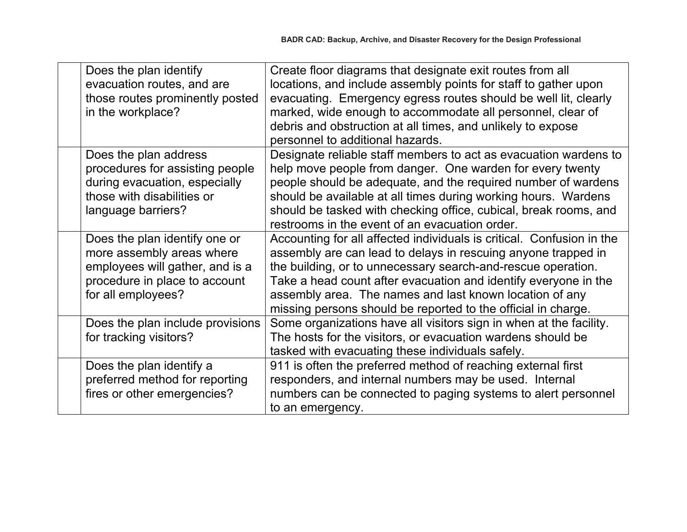| Does the plan identify           | Create floor diagrams that designate exit routes from all             |
|----------------------------------|-----------------------------------------------------------------------|
| evacuation routes, and are       | locations, and include assembly points for staff to gather upon       |
| those routes prominently posted  | evacuating. Emergency egress routes should be well lit, clearly       |
| in the workplace?                | marked, wide enough to accommodate all personnel, clear of            |
|                                  | debris and obstruction at all times, and unlikely to expose           |
|                                  | personnel to additional hazards.                                      |
| Does the plan address            | Designate reliable staff members to act as evacuation wardens to      |
| procedures for assisting people  | help move people from danger. One warden for every twenty             |
| during evacuation, especially    | people should be adequate, and the required number of wardens         |
| those with disabilities or       | should be available at all times during working hours. Wardens        |
| language barriers?               | should be tasked with checking office, cubical, break rooms, and      |
|                                  | restrooms in the event of an evacuation order.                        |
| Does the plan identify one or    | Accounting for all affected individuals is critical. Confusion in the |
| more assembly areas where        | assembly are can lead to delays in rescuing anyone trapped in         |
| employees will gather, and is a  | the building, or to unnecessary search-and-rescue operation.          |
| procedure in place to account    | Take a head count after evacuation and identify everyone in the       |
| for all employees?               | assembly area. The names and last known location of any               |
|                                  | missing persons should be reported to the official in charge.         |
| Does the plan include provisions | Some organizations have all visitors sign in when at the facility.    |
| for tracking visitors?           | The hosts for the visitors, or evacuation wardens should be           |
|                                  | tasked with evacuating these individuals safely.                      |
| Does the plan identify a         | 911 is often the preferred method of reaching external first          |
| preferred method for reporting   | responders, and internal numbers may be used. Internal                |
| fires or other emergencies?      | numbers can be connected to paging systems to alert personnel         |
|                                  | to an emergency.                                                      |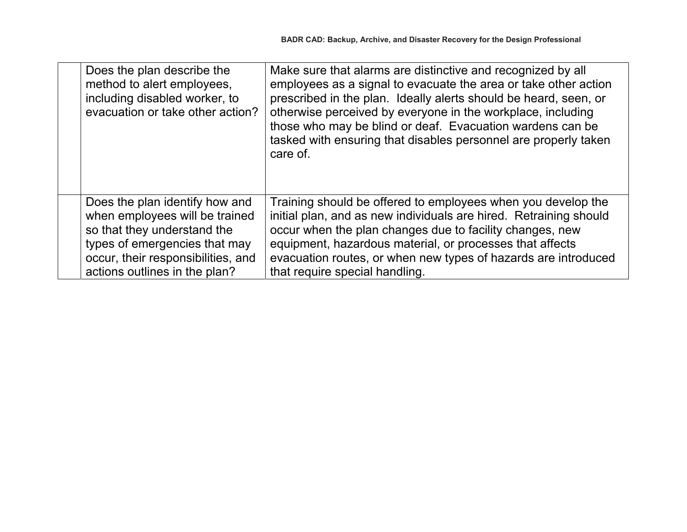| Does the plan describe the<br>method to alert employees,<br>including disabled worker, to<br>evacuation or take other action?                                                                           | Make sure that alarms are distinctive and recognized by all<br>employees as a signal to evacuate the area or take other action<br>prescribed in the plan. Ideally alerts should be heard, seen, or<br>otherwise perceived by everyone in the workplace, including<br>those who may be blind or deaf. Evacuation wardens can be<br>tasked with ensuring that disables personnel are properly taken<br>care of. |
|---------------------------------------------------------------------------------------------------------------------------------------------------------------------------------------------------------|---------------------------------------------------------------------------------------------------------------------------------------------------------------------------------------------------------------------------------------------------------------------------------------------------------------------------------------------------------------------------------------------------------------|
| Does the plan identify how and<br>when employees will be trained<br>so that they understand the<br>types of emergencies that may<br>occur, their responsibilities, and<br>actions outlines in the plan? | Training should be offered to employees when you develop the<br>initial plan, and as new individuals are hired. Retraining should<br>occur when the plan changes due to facility changes, new<br>equipment, hazardous material, or processes that affects<br>evacuation routes, or when new types of hazards are introduced<br>that require special handling.                                                 |